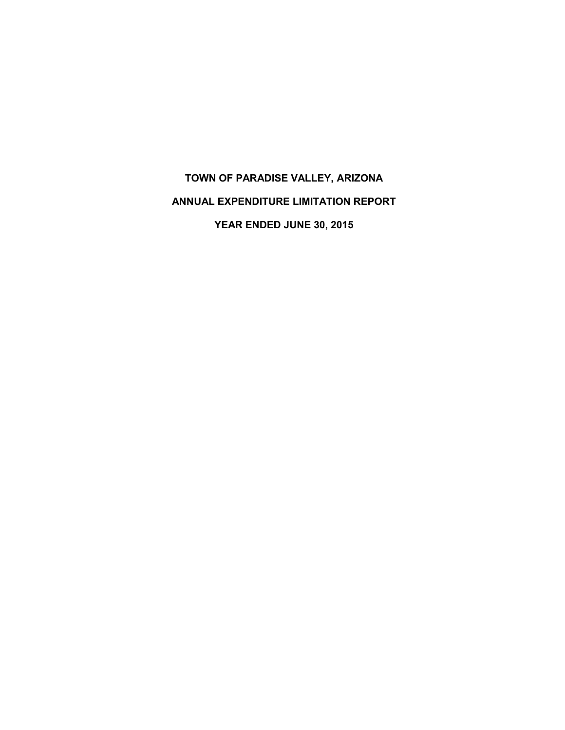# **TOWN OF PARADISE VALLEY, ARIZONA ANNUAL EXPENDITURE LIMITATION REPORT YEAR ENDED JUNE 30, 2015**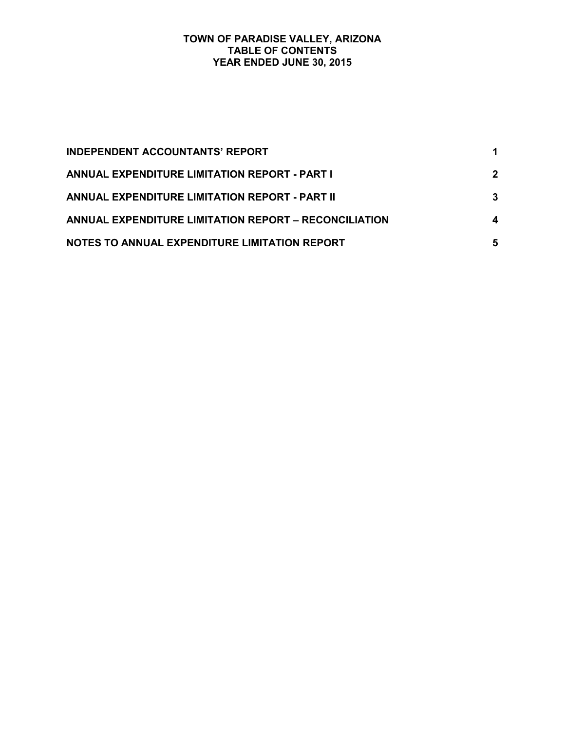#### **TOWN OF PARADISE VALLEY, ARIZONA TABLE OF CONTENTS YEAR ENDED JUNE 30, 2015**

| <b>INDEPENDENT ACCOUNTANTS' REPORT</b>                |             |
|-------------------------------------------------------|-------------|
| <b>ANNUAL EXPENDITURE LIMITATION REPORT - PART I</b>  | $\mathbf 2$ |
| ANNUAL EXPENDITURE LIMITATION REPORT - PART II        | 3           |
| ANNUAL EXPENDITURE LIMITATION REPORT - RECONCILIATION | 4           |
| NOTES TO ANNUAL EXPENDITURE LIMITATION REPORT         | 5           |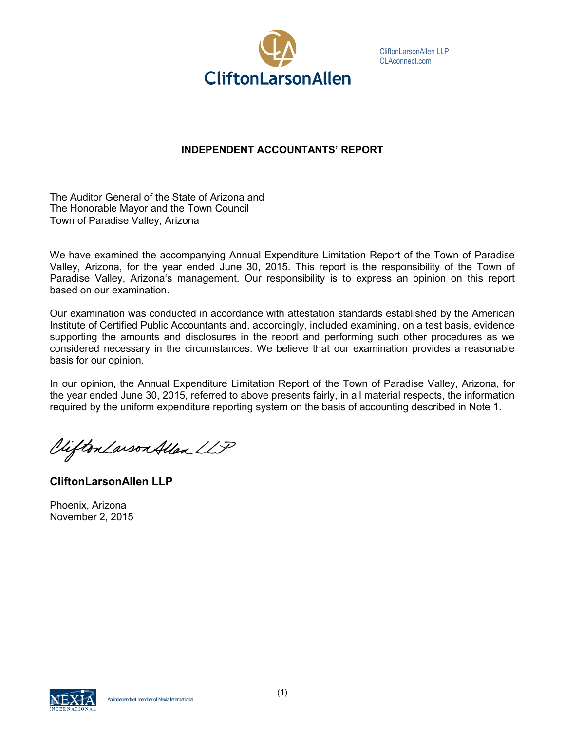

CliftonLarsonAllen LLP CLAconnect.com

# **INDEPENDENT ACCOUNTANTS' REPORT**

The Auditor General of the State of Arizona and The Honorable Mayor and the Town Council Town of Paradise Valley, Arizona

We have examined the accompanying Annual Expenditure Limitation Report of the Town of Paradise Valley, Arizona, for the year ended June 30, 2015. This report is the responsibility of the Town of Paradise Valley, Arizona's management. Our responsibility is to express an opinion on this report based on our examination.

Our examination was conducted in accordance with attestation standards established by the American Institute of Certified Public Accountants and, accordingly, included examining, on a test basis, evidence supporting the amounts and disclosures in the report and performing such other procedures as we considered necessary in the circumstances. We believe that our examination provides a reasonable basis for our opinion.

In our opinion, the Annual Expenditure Limitation Report of the Town of Paradise Valley, Arizona, for the year ended June 30, 2015, referred to above presents fairly, in all material respects, the information required by the uniform expenditure reporting system on the basis of accounting described in Note 1.

Viifton Larson Allen LLP

**CliftonLarsonAllen LLP**

Phoenix, Arizona November 2, 2015

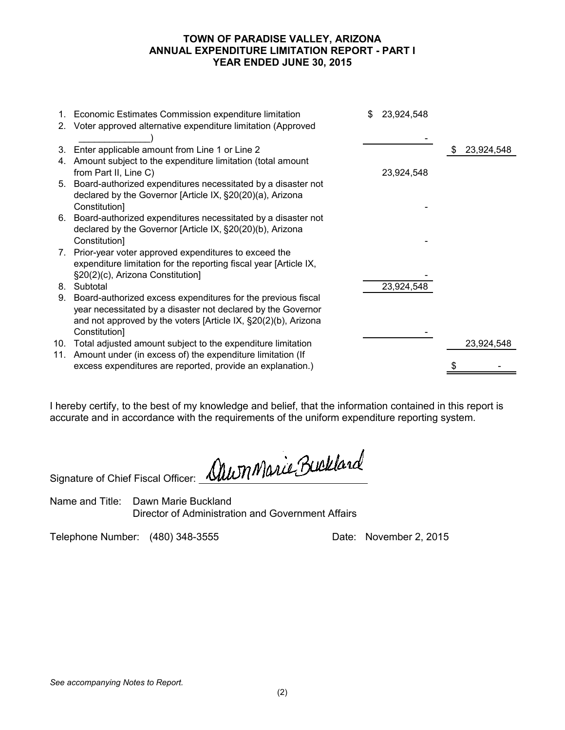## **TOWN OF PARADISE VALLEY, ARIZONA ANNUAL EXPENDITURE LIMITATION REPORT - PART I YEAR ENDED JUNE 30, 2015**

|    | 1. Economic Estimates Commission expenditure limitation           | \$<br>23,924,548 |                  |
|----|-------------------------------------------------------------------|------------------|------------------|
|    | 2. Voter approved alternative expenditure limitation (Approved    |                  |                  |
|    |                                                                   |                  |                  |
| 3. | Enter applicable amount from Line 1 or Line 2                     |                  | \$<br>23,924,548 |
|    | 4. Amount subject to the expenditure limitation (total amount     |                  |                  |
|    | from Part II, Line C)                                             | 23,924,548       |                  |
|    | 5. Board-authorized expenditures necessitated by a disaster not   |                  |                  |
|    | declared by the Governor [Article IX, §20(20)(a), Arizona         |                  |                  |
|    | Constitution]                                                     |                  |                  |
|    | 6. Board-authorized expenditures necessitated by a disaster not   |                  |                  |
|    | declared by the Governor [Article IX, §20(20)(b), Arizona         |                  |                  |
|    | Constitution]                                                     |                  |                  |
|    | 7. Prior-year voter approved expenditures to exceed the           |                  |                  |
|    | expenditure limitation for the reporting fiscal year [Article IX, |                  |                  |
|    | §20(2)(c), Arizona Constitution]                                  |                  |                  |
|    | 8. Subtotal                                                       | 23,924,548       |                  |
| 9. | Board-authorized excess expenditures for the previous fiscal      |                  |                  |
|    | year necessitated by a disaster not declared by the Governor      |                  |                  |
|    | and not approved by the voters [Article IX, §20(2)(b), Arizona    |                  |                  |
|    | Constitution]                                                     |                  |                  |
|    | 10. Total adjusted amount subject to the expenditure limitation   |                  | 23,924,548       |
|    | 11. Amount under (in excess of) the expenditure limitation (If    |                  |                  |
|    | excess expenditures are reported, provide an explanation.)        |                  |                  |
|    |                                                                   |                  |                  |

I hereby certify, to the best of my knowledge and belief, that the information contained in this report is accurate and in accordance with the requirements of the uniform expenditure reporting system.

Signature of Chief Fiscal Officer: <u>Mu</u>m Marie Buckland

Name and Title: Dawn Marie Buckland Director of Administration and Government Affairs

Telephone Number: (480) 348-3555 Date: November 2, 2015

*See accompanying Notes to Report.*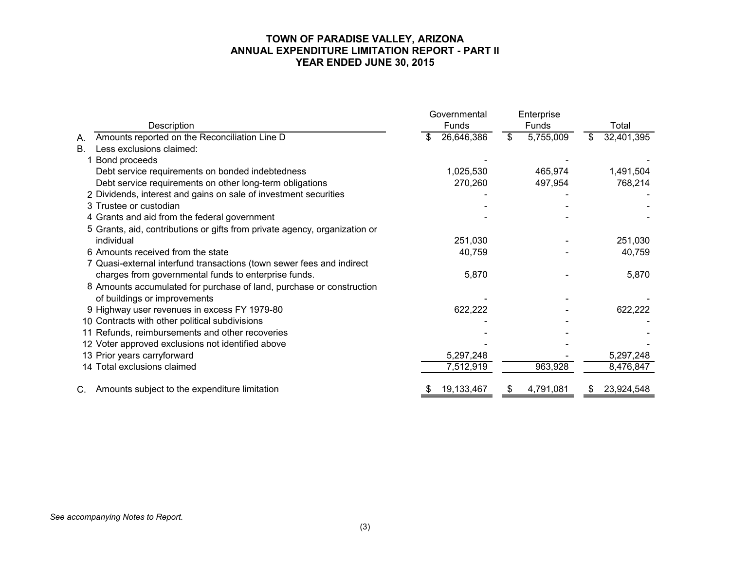#### **TOWN OF PARADISE VALLEY, ARIZONA ANNUAL EXPENDITURE LIMITATION REPORT - PART II YEAR ENDED JUNE 30, 2015**

|                                                                            | Governmental | Enterprise      |                  |  |
|----------------------------------------------------------------------------|--------------|-----------------|------------------|--|
| Description                                                                | Funds        | Funds           | Total            |  |
| Amounts reported on the Reconciliation Line D<br>Α.                        | 26,646,386   | 5,755,009<br>\$ | 32,401,395<br>\$ |  |
| Less exclusions claimed:<br><b>B.</b>                                      |              |                 |                  |  |
| Bond proceeds                                                              |              |                 |                  |  |
| Debt service requirements on bonded indebtedness                           | 1,025,530    | 465,974         | 1,491,504        |  |
| Debt service requirements on other long-term obligations                   | 270,260      | 497,954         | 768,214          |  |
| 2 Dividends, interest and gains on sale of investment securities           |              |                 |                  |  |
| 3 Trustee or custodian                                                     |              |                 |                  |  |
| 4 Grants and aid from the federal government                               |              |                 |                  |  |
| 5 Grants, aid, contributions or gifts from private agency, organization or |              |                 |                  |  |
| individual                                                                 | 251,030      |                 | 251,030          |  |
| 6 Amounts received from the state                                          | 40,759       |                 | 40,759           |  |
| 7 Quasi-external interfund transactions (town sewer fees and indirect      |              |                 |                  |  |
| charges from governmental funds to enterprise funds.                       | 5,870        |                 | 5,870            |  |
| 8 Amounts accumulated for purchase of land, purchase or construction       |              |                 |                  |  |
| of buildings or improvements                                               |              |                 |                  |  |
| 9 Highway user revenues in excess FY 1979-80                               | 622,222      |                 | 622,222          |  |
| 10 Contracts with other political subdivisions                             |              |                 |                  |  |
| 11 Refunds, reimbursements and other recoveries                            |              |                 |                  |  |
| 12 Voter approved exclusions not identified above                          |              |                 |                  |  |
| 13 Prior years carryforward                                                | 5,297,248    |                 | 5,297,248        |  |
| 14 Total exclusions claimed                                                | 7,512,919    | 963,928         | 8,476,847        |  |
| Amounts subject to the expenditure limitation<br>C.                        | 19, 133, 467 | 4,791,081<br>\$ | 23,924,548<br>\$ |  |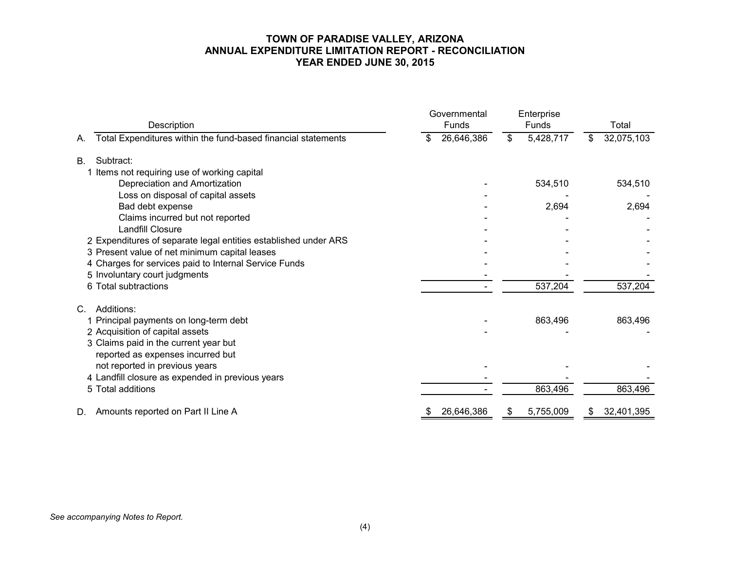#### **TOWN OF PARADISE VALLEY, ARIZONA ANNUAL EXPENDITURE LIMITATION REPORT - RECONCILIATION YEAR ENDED JUNE 30, 2015**

| Description                                                         | Governmental<br>Funds | Enterprise<br>Funds | Total            |  |
|---------------------------------------------------------------------|-----------------------|---------------------|------------------|--|
| Total Expenditures within the fund-based financial statements<br>А. | 26,646,386<br>\$      | 5,428,717<br>\$     | 32,075,103<br>\$ |  |
| Subtract:<br><b>B.</b>                                              |                       |                     |                  |  |
| 1 Items not requiring use of working capital                        |                       |                     |                  |  |
| Depreciation and Amortization                                       |                       | 534,510             | 534,510          |  |
| Loss on disposal of capital assets                                  |                       |                     |                  |  |
| Bad debt expense                                                    |                       | 2,694               | 2,694            |  |
| Claims incurred but not reported                                    |                       |                     |                  |  |
| <b>Landfill Closure</b>                                             |                       |                     |                  |  |
| 2 Expenditures of separate legal entities established under ARS     |                       |                     |                  |  |
| 3 Present value of net minimum capital leases                       |                       |                     |                  |  |
| 4 Charges for services paid to Internal Service Funds               |                       |                     |                  |  |
| 5 Involuntary court judgments                                       |                       |                     |                  |  |
| 6 Total subtractions                                                |                       | 537,204             | 537,204          |  |
| Additions:<br>C.                                                    |                       |                     |                  |  |
| 1 Principal payments on long-term debt                              |                       | 863,496             | 863,496          |  |
| 2 Acquisition of capital assets                                     |                       |                     |                  |  |
| 3 Claims paid in the current year but                               |                       |                     |                  |  |
| reported as expenses incurred but                                   |                       |                     |                  |  |
| not reported in previous years                                      |                       |                     |                  |  |
| 4 Landfill closure as expended in previous years                    |                       |                     |                  |  |
| 5 Total additions                                                   |                       | 863,496             | 863,496          |  |
| Amounts reported on Part II Line A<br>D.                            | 26,646,386<br>\$      | 5,755,009<br>\$     | 32,401,395<br>\$ |  |

*See accompanying Notes to Report.*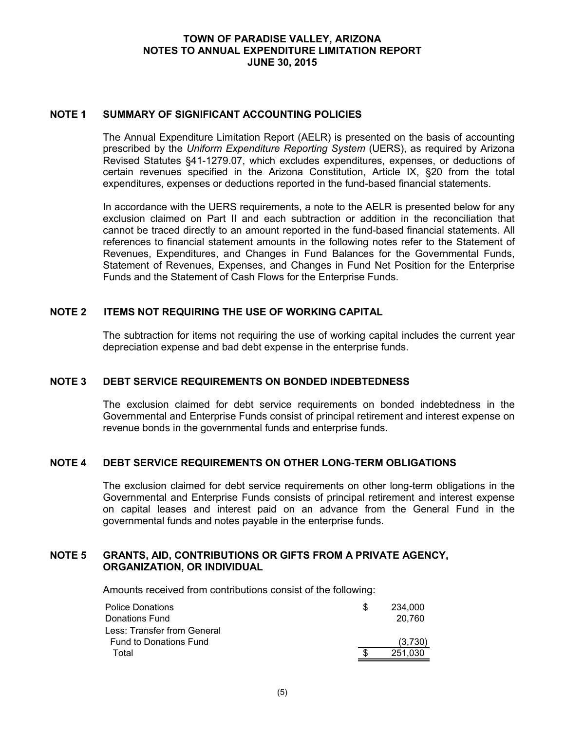## **TOWN OF PARADISE VALLEY, ARIZONA NOTES TO ANNUAL EXPENDITURE LIMITATION REPORT JUNE 30, 2015**

#### **NOTE 1 SUMMARY OF SIGNIFICANT ACCOUNTING POLICIES**

The Annual Expenditure Limitation Report (AELR) is presented on the basis of accounting prescribed by the *Uniform Expenditure Reporting System* (UERS), as required by Arizona Revised Statutes §41-1279.07, which excludes expenditures, expenses, or deductions of certain revenues specified in the Arizona Constitution, Article IX, §20 from the total expenditures, expenses or deductions reported in the fund-based financial statements.

In accordance with the UERS requirements, a note to the AELR is presented below for any exclusion claimed on Part II and each subtraction or addition in the reconciliation that cannot be traced directly to an amount reported in the fund-based financial statements. All references to financial statement amounts in the following notes refer to the Statement of Revenues, Expenditures, and Changes in Fund Balances for the Governmental Funds, Statement of Revenues, Expenses, and Changes in Fund Net Position for the Enterprise Funds and the Statement of Cash Flows for the Enterprise Funds.

#### **NOTE 2 ITEMS NOT REQUIRING THE USE OF WORKING CAPITAL**

The subtraction for items not requiring the use of working capital includes the current year depreciation expense and bad debt expense in the enterprise funds.

#### **NOTE 3 DEBT SERVICE REQUIREMENTS ON BONDED INDEBTEDNESS**

The exclusion claimed for debt service requirements on bonded indebtedness in the Governmental and Enterprise Funds consist of principal retirement and interest expense on revenue bonds in the governmental funds and enterprise funds.

#### **NOTE 4 DEBT SERVICE REQUIREMENTS ON OTHER LONG-TERM OBLIGATIONS**

The exclusion claimed for debt service requirements on other long-term obligations in the Governmental and Enterprise Funds consists of principal retirement and interest expense on capital leases and interest paid on an advance from the General Fund in the governmental funds and notes payable in the enterprise funds.

#### **NOTE 5 GRANTS, AID, CONTRIBUTIONS OR GIFTS FROM A PRIVATE AGENCY, ORGANIZATION, OR INDIVIDUAL**

Amounts received from contributions consist of the following:

| Police Donations              | 234.000 |
|-------------------------------|---------|
| Donations Fund                | 20.760  |
| Less: Transfer from General   |         |
| <b>Fund to Donations Fund</b> | (3.730) |
| Total                         | 251,030 |